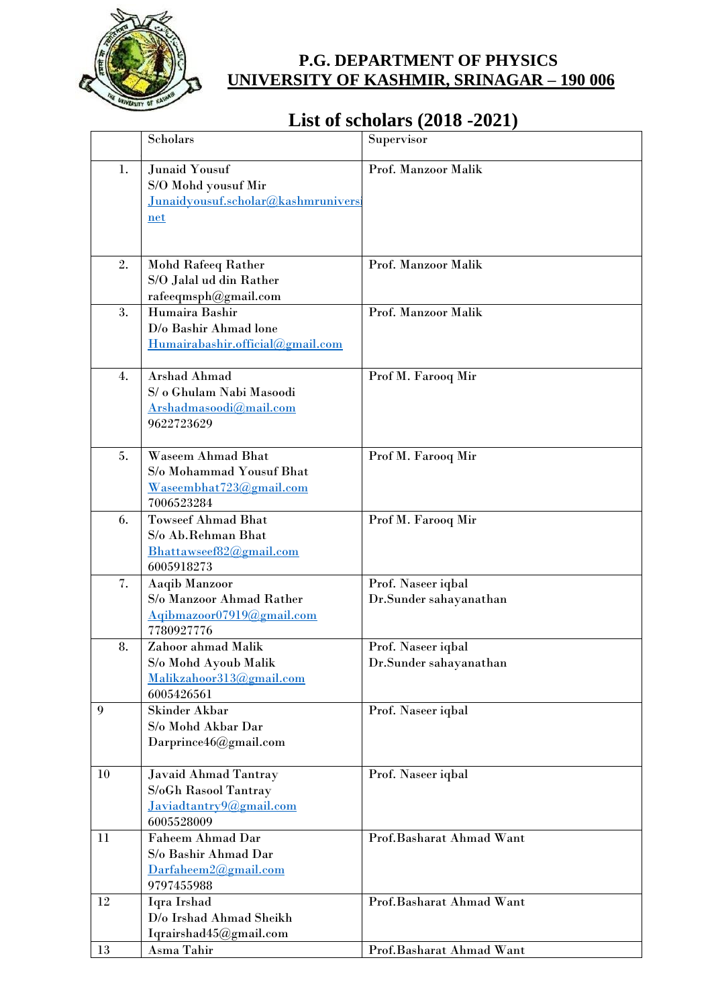

## **P.G. DEPARTMENT OF PHYSICS UNIVERSITY OF KASHMIR, SRINAGAR – 190 006**

## **List of scholars (2018 -2021)**

|                  | Scholars                                                                                      | Supervisor                                   |
|------------------|-----------------------------------------------------------------------------------------------|----------------------------------------------|
| 1.               | <b>Junaid Yousuf</b><br>S/O Mohd yousuf Mir<br>Junaidyousuf.scholar@kashmruniversi<br>net     | Prof. Manzoor Malik                          |
| 2.               | <b>Mohd Rafeeq Rather</b><br>S/O Jalal ud din Rather<br>rafeeqmsph@gmail.com                  | Prof. Manzoor Malik                          |
| 3.               | Humaira Bashir<br>D/o Bashir Ahmad lone<br>Humairabashir.official@gmail.com                   | Prof. Manzoor Malik                          |
| $\overline{4}$ . | Arshad Ahmad<br>S/ o Ghulam Nabi Masoodi<br>Arshadmasoodi@mail.com<br>9622723629              | Prof M. Farooq Mir                           |
| 5.               | <b>Waseem Ahmad Bhat</b><br>S/o Mohammad Yousuf Bhat<br>Waseembhat723@gmail.com<br>7006523284 | Prof M. Farooq Mir                           |
| 6.               | <b>Towseef Ahmad Bhat</b><br>S/o Ab.Rehman Bhat<br>Bhattawseef82@gmail.com<br>6005918273      | Prof M. Farooq Mir                           |
| 7.               | Aaqib Manzoor<br>S/o Manzoor Ahmad Rather<br>Aqibmazoor07919@gmail.com<br>7780927776          | Prof. Naseer iqbal<br>Dr.Sunder sahayanathan |
| 8.               | Zahoor ahmad Malik<br>S/o Mohd Ayoub Malik<br>Malikzahoor313@gmail.com<br>6005426561          | Prof. Naseer iqbal<br>Dr.Sunder sahayanathan |
| 9                | <b>Skinder Akbar</b><br>S/o Mohd Akbar Dar<br>Darprince46@gmail.com                           | Prof. Naseer iqbal                           |
| 10               | Javaid Ahmad Tantray<br>S/oGh Rasool Tantray<br>Javiadtantry9@gmail.com<br>6005528009         | Prof. Naseer iqbal                           |
| 11               | <b>Faheem Ahmad Dar</b><br>S/o Bashir Ahmad Dar<br>Darfaheem2@gmail.com<br>9797455988         | Prof.Basharat Ahmad Want                     |
| 12               | Iqra Irshad<br>D/o Irshad Ahmad Sheikh<br>Iqrairshad45@gmail.com                              | Prof.Basharat Ahmad Want                     |
| 13               | Asma Tahir                                                                                    | Prof.Basharat Ahmad Want                     |